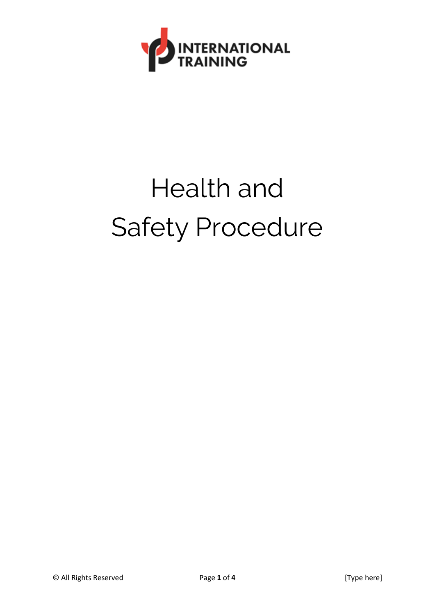

# Health and Safety Procedure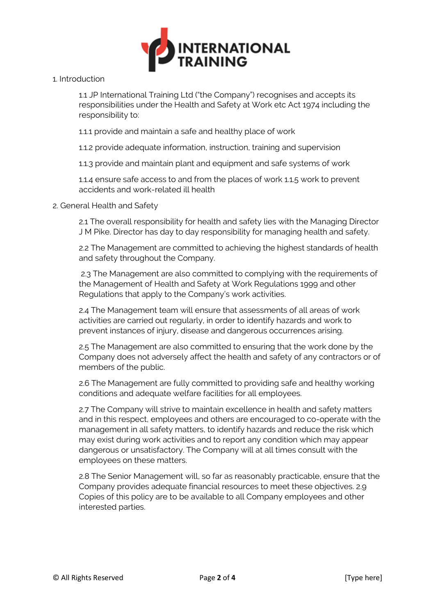

#### 1. Introduction

1.1 JP International Training Ltd ("the Company") recognises and accepts its responsibilities under the Health and Safety at Work etc Act 1974 including the responsibility to:

1.1.1 provide and maintain a safe and healthy place of work

1.1.2 provide adequate information, instruction, training and supervision

1.1.3 provide and maintain plant and equipment and safe systems of work

1.1.4 ensure safe access to and from the places of work 1.1.5 work to prevent accidents and work-related ill health

#### 2. General Health and Safety

2.1 The overall responsibility for health and safety lies with the Managing Director J M Pike. Director has day to day responsibility for managing health and safety.

2.2 The Management are committed to achieving the highest standards of health and safety throughout the Company.

2.3 The Management are also committed to complying with the requirements of the Management of Health and Safety at Work Regulations 1999 and other Regulations that apply to the Company's work activities.

2.4 The Management team will ensure that assessments of all areas of work activities are carried out regularly, in order to identify hazards and work to prevent instances of injury, disease and dangerous occurrences arising.

2.5 The Management are also committed to ensuring that the work done by the Company does not adversely affect the health and safety of any contractors or of members of the public.

2.6 The Management are fully committed to providing safe and healthy working conditions and adequate welfare facilities for all employees.

2.7 The Company will strive to maintain excellence in health and safety matters and in this respect, employees and others are encouraged to co-operate with the management in all safety matters, to identify hazards and reduce the risk which may exist during work activities and to report any condition which may appear dangerous or unsatisfactory. The Company will at all times consult with the employees on these matters.

2.8 The Senior Management will, so far as reasonably practicable, ensure that the Company provides adequate financial resources to meet these objectives. 2.9 Copies of this policy are to be available to all Company employees and other interested parties.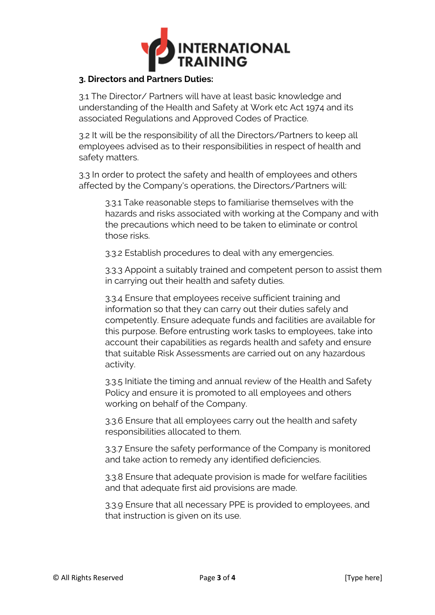

## **3. Directors and Partners Duties:**

3.1 The Director/ Partners will have at least basic knowledge and understanding of the Health and Safety at Work etc Act 1974 and its associated Regulations and Approved Codes of Practice.

3.2 It will be the responsibility of all the Directors/Partners to keep all employees advised as to their responsibilities in respect of health and safety matters.

3.3 In order to protect the safety and health of employees and others affected by the Company's operations, the Directors/Partners will:

3.3.1 Take reasonable steps to familiarise themselves with the hazards and risks associated with working at the Company and with the precautions which need to be taken to eliminate or control those risks.

3.3.2 Establish procedures to deal with any emergencies.

3.3.3 Appoint a suitably trained and competent person to assist them in carrying out their health and safety duties.

3.3.4 Ensure that employees receive sufficient training and information so that they can carry out their duties safely and competently. Ensure adequate funds and facilities are available for this purpose. Before entrusting work tasks to employees, take into account their capabilities as regards health and safety and ensure that suitable Risk Assessments are carried out on any hazardous activity.

3.3.5 Initiate the timing and annual review of the Health and Safety Policy and ensure it is promoted to all employees and others working on behalf of the Company.

3.3.6 Ensure that all employees carry out the health and safety responsibilities allocated to them.

3.3.7 Ensure the safety performance of the Company is monitored and take action to remedy any identified deficiencies.

3.3.8 Ensure that adequate provision is made for welfare facilities and that adequate first aid provisions are made.

3.3.9 Ensure that all necessary PPE is provided to employees, and that instruction is given on its use.